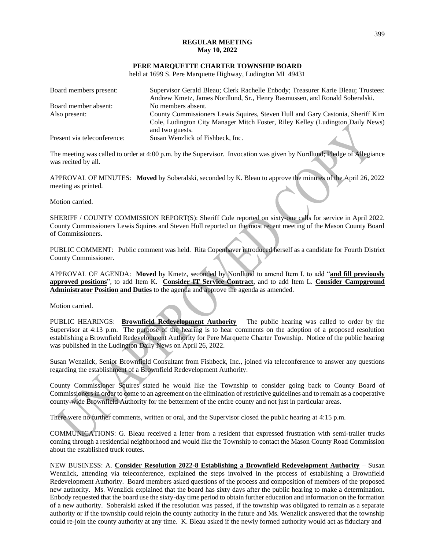### **REGULAR MEETING May 10, 2022**

#### **PERE MARQUETTE CHARTER TOWNSHIP BOARD**

held at 1699 S. Pere Marquette Highway, Ludington MI 49431

| Board members present:      | Supervisor Gerald Bleau; Clerk Rachelle Enbody; Treasurer Karie Bleau; Trustees: |  |
|-----------------------------|----------------------------------------------------------------------------------|--|
|                             | Andrew Kmetz, James Nordlund, Sr., Henry Rasmussen, and Ronald Soberalski.       |  |
| Board member absent:        | No members absent.                                                               |  |
| Also present:               | County Commissioners Lewis Squires, Steven Hull and Gary Castonia, Sheriff Kim   |  |
|                             | Cole, Ludington City Manager Mitch Foster, Riley Kelley (Ludington Daily News)   |  |
|                             | and two guests.                                                                  |  |
| Present via teleconference: | Susan Wenzlick of Fishbeck, Inc.                                                 |  |

The meeting was called to order at 4:00 p.m. by the Supervisor. Invocation was given by Nordlund; Pledge of Allegiance was recited by all.

APPROVAL OF MINUTES: **Moved** by Soberalski, seconded by K. Bleau to approve the minutes of the April 26, 2022 meeting as printed.

Motion carried.

SHERIFF / COUNTY COMMISSION REPORT(S): Sheriff Cole reported on sixty-one calls for service in April 2022. County Commissioners Lewis Squires and Steven Hull reported on the most recent meeting of the Mason County Board of Commissioners.

PUBLIC COMMENT: Public comment was held. Rita Copenhaver introduced herself as a candidate for Fourth District County Commissioner.

APPROVAL OF AGENDA: **Moved** by Kmetz, seconded by Nordlund to amend Item I. to add "**and fill previously approved positions**", to add Item K. **Consider IT Service Contract**, and to add Item L. **Consider Campground Administrator Position and Duties** to the agenda and approve the agenda as amended.

Motion carried.

PUBLIC HEARINGS: **Brownfield Redevelopment Authority** – The public hearing was called to order by the Supervisor at 4:13 p.m. The purpose of the hearing is to hear comments on the adoption of a proposed resolution establishing a Brownfield Redevelopment Authority for Pere Marquette Charter Township. Notice of the public hearing was published in the Ludington Daily News on April 26, 2022.

Susan Wenzlick, Senior Brownfield Consultant from Fishbeck, Inc., joined via teleconference to answer any questions regarding the establishment of a Brownfield Redevelopment Authority.

County Commissioner Squires stated he would like the Township to consider going back to County Board of Commissioners in order to come to an agreement on the elimination of restrictive guidelines and to remain as a cooperative county-wide Brownfield Authority for the betterment of the entire county and not just in particular areas.

There were no further comments, written or oral, and the Supervisor closed the public hearing at 4:15 p.m.

COMMUNICATIONS: G. Bleau received a letter from a resident that expressed frustration with semi-trailer trucks coming through a residential neighborhood and would like the Township to contact the Mason County Road Commission about the established truck routes.

NEW BUSINESS: A. **Consider Resolution 2022-8 Establishing a Brownfield Redevelopment Authority** – Susan Wenzlick, attending via teleconference, explained the steps involved in the process of establishing a Brownfield Redevelopment Authority. Board members asked questions of the process and composition of members of the proposed new authority. Ms. Wenzlick explained that the board has sixty days after the public hearing to make a determination. Enbody requested that the board use the sixty-day time period to obtain further education and information on the formation of a new authority. Soberalski asked if the resolution was passed, if the township was obligated to remain as a separate authority or if the township could rejoin the county authority in the future and Ms. Wenzlick answered that the township could re-join the county authority at any time. K. Bleau asked if the newly formed authority would act as fiduciary and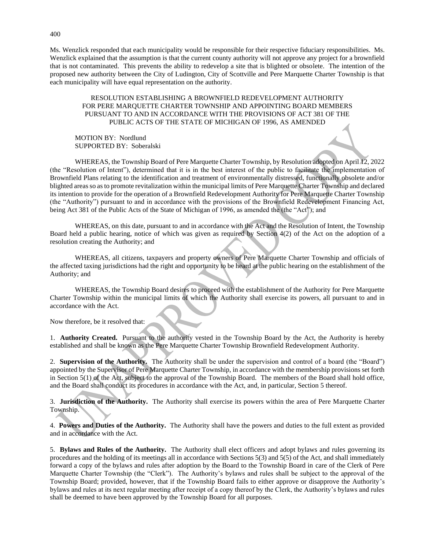Ms. Wenzlick responded that each municipality would be responsible for their respective fiduciary responsibilities. Ms. Wenzlick explained that the assumption is that the current county authority will not approve any project for a brownfield that is not contaminated. This prevents the ability to redevelop a site that is blighted or obsolete. The intention of the proposed new authority between the City of Ludington, City of Scottville and Pere Marquette Charter Township is that each municipality will have equal representation on the authority.

### RESOLUTION ESTABLISHING A BROWNFIELD REDEVELOPMENT AUTHORITY FOR PERE MARQUETTE CHARTER TOWNSHIP AND APPOINTING BOARD MEMBERS PURSUANT TO AND IN ACCORDANCE WITH THE PROVISIONS OF ACT 381 OF THE PUBLIC ACTS OF THE STATE OF MICHIGAN OF 1996, AS AMENDED

MOTION BY: Nordlund SUPPORTED BY: Soberalski

WHEREAS, the Township Board of Pere Marquette Charter Township, by Resolution adopted on April 12, 2022 (the "Resolution of Intent"), determined that it is in the best interest of the public to facilitate the implementation of Brownfield Plans relating to the identification and treatment of environmentally distressed, functionally obsolete and/or blighted areas so as to promote revitalization within the municipal limits of Pere Marquette Charter Township and declared its intention to provide for the operation of a Brownfield Redevelopment Authority for Pere Marquette Charter Township (the "Authority") pursuant to and in accordance with the provisions of the Brownfield Redevelopment Financing Act, being Act 381 of the Public Acts of the State of Michigan of 1996, as amended the (the "Act"); and

WHEREAS, on this date, pursuant to and in accordance with the Act and the Resolution of Intent, the Township Board held a public hearing, notice of which was given as required by Section 4(2) of the Act on the adoption of a resolution creating the Authority; and

WHEREAS, all citizens, taxpayers and property owners of Pere Marquette Charter Township and officials of the affected taxing jurisdictions had the right and opportunity to be heard at the public hearing on the establishment of the Authority; and

WHEREAS, the Township Board desires to proceed with the establishment of the Authority for Pere Marquette Charter Township within the municipal limits of which the Authority shall exercise its powers, all pursuant to and in accordance with the Act.

Now therefore, be it resolved that:

1. **Authority Created.** Pursuant to the authority vested in the Township Board by the Act, the Authority is hereby established and shall be known as the Pere Marquette Charter Township Brownfield Redevelopment Authority.

2. **Supervision of the Authority.** The Authority shall be under the supervision and control of a board (the "Board") appointed by the Supervisor of Pere Marquette Charter Township, in accordance with the membership provisions set forth in Section 5(1) of the Act, subject to the approval of the Township Board. The members of the Board shall hold office, and the Board shall conduct its procedures in accordance with the Act, and, in particular, Section 5 thereof.

3. **Jurisdiction of the Authority.** The Authority shall exercise its powers within the area of Pere Marquette Charter Township.

4. **Powers and Duties of the Authority.** The Authority shall have the powers and duties to the full extent as provided and in accordance with the Act.

5. **Bylaws and Rules of the Authority.** The Authority shall elect officers and adopt bylaws and rules governing its procedures and the holding of its meetings all in accordance with Sections 5(3) and 5(5) of the Act, and shall immediately forward a copy of the bylaws and rules after adoption by the Board to the Township Board in care of the Clerk of Pere Marquette Charter Township (the "Clerk"). The Authority's bylaws and rules shall be subject to the approval of the Township Board; provided, however, that if the Township Board fails to either approve or disapprove the Authority's bylaws and rules at its next regular meeting after receipt of a copy thereof by the Clerk, the Authority's bylaws and rules shall be deemed to have been approved by the Township Board for all purposes.

400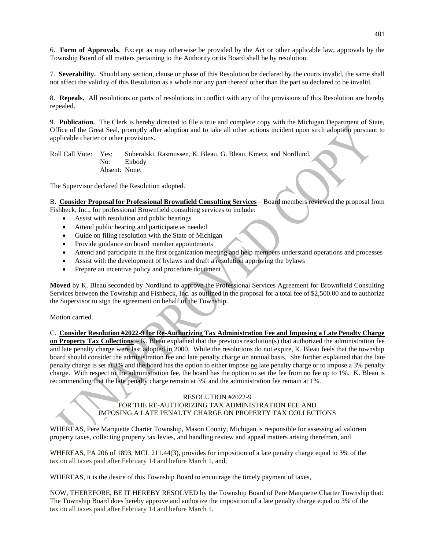6. **Form of Approvals.** Except as may otherwise be provided by the Act or other applicable law, approvals by the Township Board of all matters pertaining to the Authority or its Board shall be by resolution.

7. **Severability.** Should any section, clause or phase of this Resolution be declared by the courts invalid, the same shall not affect the validity of this Resolution as a whole nor any part thereof other than the part so declared to be invalid.

8. **Repeals.** All resolutions or parts of resolutions in conflict with any of the provisions of this Resolution are hereby repealed.

9. **Publication.** The Clerk is hereby directed to file a true and complete copy with the Michigan Department of State, Office of the Great Seal, promptly after adoption and to take all other actions incident upon such adoption pursuant to applicable charter or other provisions.

Roll Call Vote: Yes: Soberalski, Rasmussen, K. Bleau, G. Bleau, Kmetz, and Nordlund. No: Enbody Absent: None.

The Supervisor declared the Resolution adopted.

B. **Consider Proposal for Professional Brownfield Consulting Services** – Board members reviewed the proposal from Fishbeck, Inc., for professional Brownfield consulting services to include:

- Assist with resolution and public hearings
- Attend public hearing and participate as needed
- Guide on filing resolution with the State of Michigan
- Provide guidance on board member appointments
- Attend and participate in the first organization meeting and help members understand operations and processes
- Assist with the development of bylaws and draft a resolution approving the bylaws
- Prepare an incentive policy and procedure document

**Moved** by K. Bleau seconded by Nordlund to approve the Professional Services Agreement for Brownfield Consulting Services between the Township and Fishbeck, Inc. as outlined in the proposal for a total fee of \$2,500.00 and to authorize the Supervisor to sign the agreement on behalf of the Township.

Motion carried.

C. **Consider Resolution #2022-9 for Re-Authorizing Tax Administration Fee and Imposing a Late Penalty Charge on Property Tax Collections** – K. Bleau explained that the previous resolution(s) that authorized the administration fee and late penalty charge were last adopted in 2000. While the resolutions do not expire, K. Bleau feels that the township board should consider the administration fee and late penalty charge on annual basis. She further explained that the late penalty charge is set at 3% and the board has the option to either impose no late penalty charge or to impose a 3% penalty charge. With respect to the administration fee, the board has the option to set the fee from no fee up to 1%. K. Bleau is recommending that the late penalty charge remain at 3% and the administration fee remain at 1%.

# RESOLUTION #2022-9 FOR THE RE-AUTHORIZING TAX ADMINISTRATION FEE AND IMPOSING A LATE PENALTY CHARGE ON PROPERTY TAX COLLECTIONS

WHEREAS, Pere Marquette Charter Township, Mason County, Michigan is responsible for assessing ad valorem property taxes, collecting property tax levies, and handling review and appeal matters arising therefrom, and

WHEREAS, PA 206 of 1893, MCL 211.44(3), provides for imposition of a late penalty charge equal to 3% of the tax on all taxes paid after February 14 and before March 1, and,

WHEREAS, it is the desire of this Township Board to encourage the timely payment of taxes,

NOW, THEREFORE, BE IT HEREBY RESOLVED by the Township Board of Pere Marquette Charter Township that: The Township Board does hereby approve and authorize the imposition of a late penalty charge equal to 3% of the tax on all taxes paid after February 14 and before March 1.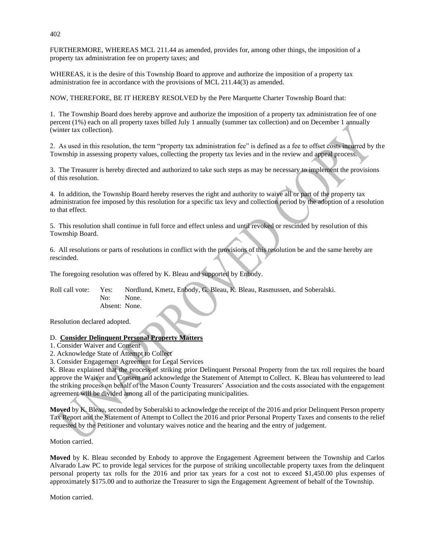FURTHERMORE, WHEREAS MCL 211.44 as amended, provides for, among other things, the imposition of a property tax administration fee on property taxes; and

WHEREAS, it is the desire of this Township Board to approve and authorize the imposition of a property tax administration fee in accordance with the provisions of MCL 211.44(3) as amended.

NOW, THEREFORE, BE IT HEREBY RESOLVED by the Pere Marquette Charter Township Board that:

1. The Township Board does hereby approve and authorize the imposition of a property tax administration fee of one percent (1%) each on all property taxes billed July 1 annually (summer tax collection) and on December 1 annually (winter tax collection).

2. As used in this resolution, the term "property tax administration fee" is defined as a fee to offset costs incurred by the Township in assessing property values, collecting the property tax levies and in the review and appeal process.

3. The Treasurer is hereby directed and authorized to take such steps as may be necessary to implement the provisions of this resolution.

4. In addition, the Township Board hereby reserves the right and authority to waive all or part of the property tax administration fee imposed by this resolution for a specific tax levy and collection period by the adoption of a resolution to that effect.

5. This resolution shall continue in full force and effect unless and until revoked or rescinded by resolution of this Township Board.

6. All resolutions or parts of resolutions in conflict with the provisions of this resolution be and the same hereby are rescinded.

The foregoing resolution was offered by K. Bleau and supported by Enbody.

Roll call vote: Yes: Nordlund, Kmetz, Enbody, G. Bleau, K. Bleau, Rasmussen, and Soberalski. No: None. Absent: None.

Resolution declared adopted.

### D. **Consider Delinquent Personal Property Matters**

- 1. Consider Waiver and Consent
- 2. Acknowledge State of Attempt to Collect

3. Consider Engagement Agreement for Legal Services

K. Bleau explained that the process of striking prior Delinquent Personal Property from the tax roll requires the board approve the Waiver and Consent and acknowledge the Statement of Attempt to Collect. K. Bleau has volunteered to lead the striking process on behalf of the Mason County Treasurers' Association and the costs associated with the engagement agreement will be divided among all of the participating municipalities.

**Moved** by K. Bleau, seconded by Soberalski to acknowledge the receipt of the 2016 and prior Delinquent Person property Tax Report and the Statement of Attempt to Collect the 2016 and prior Personal Property Taxes and consents to the relief requested by the Petitioner and voluntary waives notice and the hearing and the entry of judgement.

Motion carried.

**Moved** by K. Bleau seconded by Enbody to approve the Engagement Agreement between the Township and Carlos Alvarado Law PC to provide legal services for the purpose of striking uncollectable property taxes from the delinquent personal property tax rolls for the 2016 and prior tax years for a cost not to exceed \$1,450.00 plus expenses of approximately \$175.00 and to authorize the Treasurer to sign the Engagement Agreement of behalf of the Township.

Motion carried.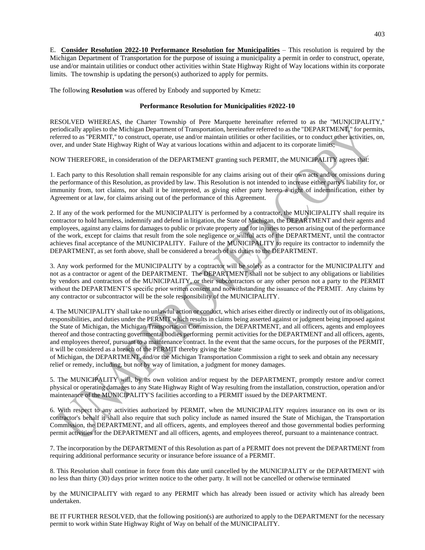E. **Consider Resolution 2022-10 Performance Resolution for Municipalities** – This resolution is required by the Michigan Department of Transportation for the purpose of issuing a municipality a permit in order to construct, operate, use and/or maintain utilities or conduct other activities within State Highway Right of Way locations within its corporate limits. The township is updating the person(s) authorized to apply for permits.

The following **Resolution** was offered by Enbody and supported by Kmetz:

### **Performance Resolution for Municipalities #2022-10**

RESOLVED WHEREAS, the Charter Township of Pere Marquette hereinafter referred to as the ''MUNICIPALITY,'' periodically applies to the Michigan Department of Transportation, hereinafter referred to as the "DEPARTMENT," for permits, referred to as ''PERMIT,'' to construct, operate, use and/or maintain utilities or other facilities, or to conduct other activities, on, over, and under State Highway Right of Way at various locations within and adjacent to its corporate limits;

NOW THEREFORE, in consideration of the DEPARTMENT granting such PERMIT, the MUNICIPALITY agrees that:

1. Each party to this Resolution shall remain responsible for any claims arising out of their own acts and/or omissions during the performance of this Resolution, as provided by law. This Resolution is not intended to increase either party's liability for, or immunity from, tort claims, nor shall it be interpreted, as giving either party hereto a right of indemnification, either by Agreement or at law, for claims arising out of the performance of this Agreement.

2. If any of the work performed for the MUNICIPALITY is performed by a contractor, the MUNICIPALITY shall require its contractor to hold harmless, indemnify and defend in litigation, the State of Michigan, the DEPARTMENT and their agents and employees, against any claims for damages to public or private property and for injuries to person arising out of the performance of the work, except for claims that result from the sole negligence or willful acts of the DEPARTMENT, until the contractor achieves final acceptance of the MUNICIPALITY. Failure of the MUNICIPALITY to require its contractor to indemnify the DEPARTMENT, as set forth above, shall be considered a breach of its duties to the DEPARTMENT.

3. Any work performed for the MUNICIPALITY by a contractor will be solely as a contractor for the MUNICIPALITY and not as a contractor or agent of the DEPARTMENT. The DEPARTMENT shall not be subject to any obligations or liabilities by vendors and contractors of the MUNICIPALITY, or their subcontractors or any other person not a party to the PERMIT without the DEPARTMENT'S specific prior written consent and notwithstanding the issuance of the PERMIT. Any claims by any contractor or subcontractor will be the sole responsibility of the MUNICIPALITY.

4. The MUNICIPALITY shall take no unlawful action or conduct, which arises either directly or indirectly out of its obligations, responsibilities, and duties under the PERMIT which results in claims being asserted against or judgment being imposed against the State of Michigan, the Michigan Transportation Commission, the DEPARTMENT, and all officers, agents and employees thereof and those contracting governmental bodies performing permit activities for the DEPARTMENT and all officers, agents, and employees thereof, pursuant to a maintenance contract. In the event that the same occurs, for the purposes of the PERMIT, it will be considered as a breach of the PERMIT thereby giving the State

of Michigan, the DEPARTMENT, and/or the Michigan Transportation Commission a right to seek and obtain any necessary relief or remedy, including, but not by way of limitation, a judgment for money damages.

5. The MUNICIPALITY will, by its own volition and/or request by the DEPARTMENT, promptly restore and/or correct physical or operating damages to any State Highway Right of Way resulting from the installation, construction, operation and/or maintenance of the MUNICIPALITY'S facilities according to a PERMIT issued by the DEPARTMENT.

6. With respect to any activities authorized by PERMIT, when the MUNICIPALITY requires insurance on its own or its contractor's behalf it shall also require that such policy include as named insured the State of Michigan, the Transportation Commission, the DEPARTMENT, and all officers, agents, and employees thereof and those governmental bodies performing permit activities for the DEPARTMENT and all officers, agents, and employees thereof, pursuant to a maintenance contract.

7. The incorporation by the DEPARTMENT of this Resolution as part of a PERMIT does not prevent the DEPARTMENT from requiring additional performance security or insurance before issuance of a PERMIT.

8. This Resolution shall continue in force from this date until cancelled by the MUNICIPALITY or the DEPARTMENT with no less than thirty (30) days prior written notice to the other party. It will not be cancelled or otherwise terminated

by the MUNICIPALITY with regard to any PERMIT which has already been issued or activity which has already been undertaken.

BE IT FURTHER RESOLVED, that the following position(s) are authorized to apply to the DEPARTMENT for the necessary permit to work within State Highway Right of Way on behalf of the MUNICIPALITY.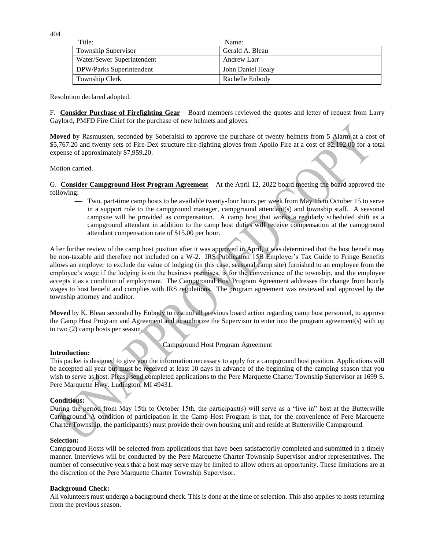404

| Title:                     | Name:             |
|----------------------------|-------------------|
| <b>Township Supervisor</b> | Gerald A. Bleau   |
| Water/Sewer Superintendent | Andrew Larr       |
| DPW/Parks Superintendent   | John Daniel Healy |
| Township Clerk             | Rachelle Enbody   |

Resolution declared adopted.

F. **Consider Purchase of Firefighting Gear** – Board members reviewed the quotes and letter of request from Larry Gaylord, PMFD Fire Chief for the purchase of new helmets and gloves.

**Moved** by Rasmussen, seconded by Soberalski to approve the purchase of twenty helmets from 5 Alarm at a cost of \$5,767.20 and twenty sets of Fire-Dex structure fire-fighting gloves from Apollo Fire at a cost of \$2,192.00 for a total expense of approximately \$7,959.20.

Motion carried.

G. **Consider Campground Host Program Agreement** – At the April 12, 2022 board meeting the board approved the following:

- Two, part-time camp hosts to be available twenty-four hours per week from May 15 to October 15 to serve in a support role to the campground manager, campground attendant(s) and township staff. A seasonal campsite will be provided as compensation. A camp host that works a regularly scheduled shift as a campground attendant in addition to the camp host duties will receive compensation at the campground attendant compensation rate of \$15.00 per hour.

After further review of the camp host position after it was approved in April, it was determined that the host benefit may be non-taxable and therefore not included on a W-2. IRS Publication 15B Employer's Tax Guide to Fringe Benefits allows an employer to exclude the value of lodging (in this case, seasonal camp site) furnished to an employee from the employee's wage if the lodging is on the business premises, is for the convenience of the township, and the employee accepts it as a condition of employment. The Campground Host Program Agreement addresses the change from hourly wages to host benefit and complies with IRS regulations. The program agreement was reviewed and approved by the township attorney and auditor.

**Moved** by K. Bleau seconded by Enbody to rescind all previous board action regarding camp host personnel, to approve the Camp Host Program and Agreement and to authorize the Supervisor to enter into the program agreement(s) with up to two (2) camp hosts per season.

Campground Host Program Agreement

### **Introduction:**

This packet is designed to give you the information necessary to apply for a campground host position. Applications will be accepted all year but must be received at least 10 days in advance of the beginning of the camping season that you wish to serve as host. Please send completed applications to the Pere Marquette Charter Township Supervisor at 1699 S. Pere Marquette Hwy. Ludington, MI 49431.

# **Conditions:**

During the period from May 15th to October 15th, the participant(s) will serve as a "live in" host at the Buttersville Campground. A condition of participation in the Camp Host Program is that, for the convenience of Pere Marquette Charter Township, the participant(s) must provide their own housing unit and reside at Buttersville Campground.

### **Selection:**

Campground Hosts will be selected from applications that have been satisfactorily completed and submitted in a timely manner. Interviews will be conducted by the Pere Marquette Charter Township Supervisor and/or representatives. The number of consecutive years that a host may serve may be limited to allow others an opportunity. These limitations are at the discretion of the Pere Marquette Charter Township Supervisor.

### **Background Check:**

All volunteers must undergo a background check. This is done at the time of selection. This also applies to hosts returning from the previous season.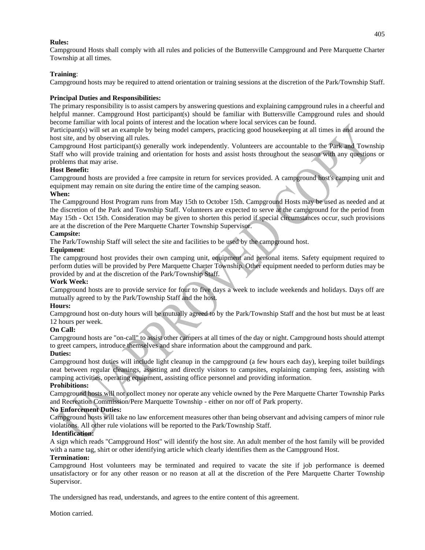### **Rules:**

Campground Hosts shall comply with all rules and policies of the Buttersville Campground and Pere Marquette Charter Township at all times.

# **Training**:

Campground hosts may be required to attend orientation or training sessions at the discretion of the Park/Township Staff.

### **Principal Duties and Responsibilities:**

The primary responsibility is to assist campers by answering questions and explaining campground rules in a cheerful and helpful manner. Campground Host participant(s) should be familiar with Buttersville Campground rules and should become familiar with local points of interest and the location where local services can be found.

Participant(s) will set an example by being model campers, practicing good housekeeping at all times in and around the host site, and by observing all rules.

Campground Host participant(s) generally work independently. Volunteers are accountable to the Park and Township Staff who will provide training and orientation for hosts and assist hosts throughout the season with any questions or problems that may arise.

# **Host Benefit:**

Campground hosts are provided a free campsite in return for services provided. A campground host's camping unit and equipment may remain on site during the entire time of the camping season.

### **When:**

The Campground Host Program runs from May 15th to October 15th. Campground Hosts may be used as needed and at the discretion of the Park and Township Staff. Volunteers are expected to serve at the campground for the period from May 15th - Oct 15th. Consideration may be given to shorten this period if special circumstances occur, such provisions are at the discretion of the Pere Marquette Charter Township Supervisor.

### **Campsite:**

The Park/Township Staff will select the site and facilities to be used by the campground host.

### **Equipment**:

The campground host provides their own camping unit, equipment and personal items. Safety equipment required to perform duties will be provided by Pere Marquette Charter Township. Other equipment needed to perform duties may be provided by and at the discretion of the Park/Township Staff.

### **Work Week:**

Campground hosts are to provide service for four to five days a week to include weekends and holidays. Days off are mutually agreed to by the Park/Township Staff and the host.

### **Hours:**

Campground host on-duty hours will be mutually agreed to by the Park/Township Staff and the host but must be at least 12 hours per week.

# **On Call:**

Campground hosts are "on-call" to assist other campers at all times of the day or night. Campground hosts should attempt to greet campers, introduce themselves and share information about the campground and park.

### **Duties:**

Campground host duties will include light cleanup in the campground (a few hours each day), keeping toilet buildings neat between regular cleanings, assisting and directly visitors to campsites, explaining camping fees, assisting with camping activities, operating equipment, assisting office personnel and providing information.

### **Prohibitions:**

Campground hosts will not collect money nor operate any vehicle owned by the Pere Marquette Charter Township Parks and Recreation Commission/Pere Marquette Township - either on nor off of Park property.

### **No Enforcement Duties:**

Campground hosts will take no law enforcement measures other than being observant and advising campers of minor rule violations. All other rule violations will be reported to the Park/Township Staff.

# **Identification:**

A sign which reads "Campground Host" will identify the host site. An adult member of the host family will be provided with a name tag, shirt or other identifying article which clearly identifies them as the Campground Host.

# **Termination:**

Campground Host volunteers may be terminated and required to vacate the site if job performance is deemed unsatisfactory or for any other reason or no reason at all at the discretion of the Pere Marquette Charter Township Supervisor.

The undersigned has read, understands, and agrees to the entire content of this agreement.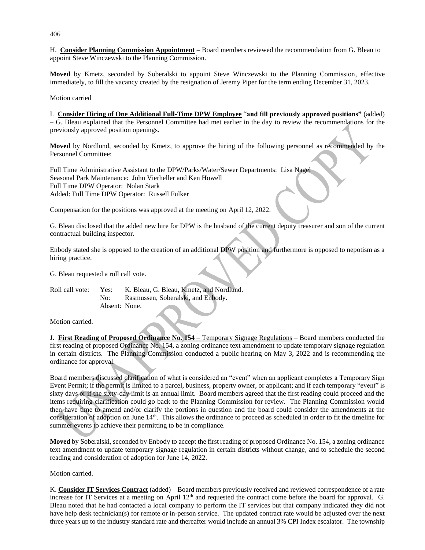H. **Consider Planning Commission Appointment** – Board members reviewed the recommendation from G. Bleau to appoint Steve Winczewski to the Planning Commission.

**Moved** by Kmetz, seconded by Soberalski to appoint Steve Winczewski to the Planning Commission, effective immediately, to fill the vacancy created by the resignation of Jeremy Piper for the term ending December 31, 2023.

Motion carried

I. **Consider Hiring of One Additional Full-Time DPW Employee** "**and fill previously approved positions"** (added) – G. Bleau explained that the Personnel Committee had met earlier in the day to review the recommendations for the previously approved position openings.

**Moved** by Nordlund, seconded by Kmetz, to approve the hiring of the following personnel as recommended by the Personnel Committee:

Full Time Administrative Assistant to the DPW/Parks/Water/Sewer Departments: Lisa Nagel Seasonal Park Maintenance: John Vierheller and Ken Howell Full Time DPW Operator: Nolan Stark Added: Full Time DPW Operator: Russell Fulker

Compensation for the positions was approved at the meeting on April 12, 2022.

G. Bleau disclosed that the added new hire for DPW is the husband of the current deputy treasurer and son of the current contractual building inspector.

Enbody stated she is opposed to the creation of an additional DPW position and furthermore is opposed to nepotism as a hiring practice.

G. Bleau requested a roll call vote.

Roll call vote: Yes: K. Bleau, G. Bleau, Kmetz, and Nordlund. No: Rasmussen, Soberalski, and Enbody. Absent: None.

Motion carried.

J. **First Reading of Proposed Ordinance No. 154** – Temporary Signage Regulations – Board members conducted the first reading of proposed Ordinance No. 154, a zoning ordinance text amendment to update temporary signage regulation in certain districts. The Planning Commission conducted a public hearing on May 3, 2022 and is recommending the ordinance for approval.

Board members discussed clarification of what is considered an "event" when an applicant completes a Temporary Sign Event Permit; if the permit is limited to a parcel, business, property owner, or applicant; and if each temporary "event" is sixty days or if the sixty-day limit is an annual limit. Board members agreed that the first reading could proceed and the items requiring clarification could go back to the Planning Commission for review. The Planning Commission would then have time to amend and/or clarify the portions in question and the board could consider the amendments at the consideration of adoption on June 14th. This allows the ordinance to proceed as scheduled in order to fit the timeline for summer events to achieve their permitting to be in compliance.

**Moved** by Soberalski, seconded by Enbody to accept the first reading of proposed Ordinance No. 154, a zoning ordinance text amendment to update temporary signage regulation in certain districts without change, and to schedule the second reading and consideration of adoption for June 14, 2022.

Motion carried.

K. **Consider IT Services Contract** (added) – Board members previously received and reviewed correspondence of a rate increase for IT Services at a meeting on April  $12<sup>th</sup>$  and requested the contract come before the board for approval. G. Bleau noted that he had contacted a local company to perform the IT services but that company indicated they did not have help desk technician(s) for remote or in-person service. The updated contract rate would be adjusted over the next three years up to the industry standard rate and thereafter would include an annual 3% CPI Index escalator. The township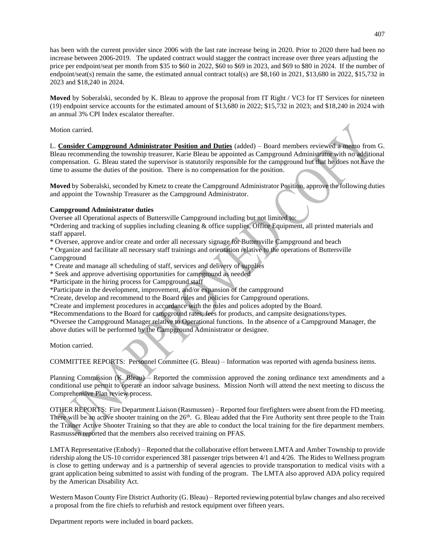has been with the current provider since 2006 with the last rate increase being in 2020. Prior to 2020 there had been no increase between 2006-2019. The updated contract would stagger the contract increase over three years adjusting the price per endpoint/seat per month from \$35 to \$60 in 2022, \$60 to \$69 in 2023, and \$69 to \$80 in 2024. If the number of endpoint/seat(s) remain the same, the estimated annual contract total(s) are \$8,160 in 2021, \$13,680 in 2022, \$15,732 in 2023 and \$18,240 in 2024.

**Moved** by Soberalski, seconded by K. Bleau to approve the proposal from IT Right / VC3 for IT Services for nineteen (19) endpoint service accounts for the estimated amount of \$13,680 in 2022; \$15,732 in 2023; and \$18,240 in 2024 with an annual 3% CPI Index escalator thereafter.

Motion carried.

L. **Consider Campground Administrator Position and Duties** (added) – Board members reviewed a memo from G. Bleau recommending the township treasurer, Karie Bleau be appointed as Campground Administrator with no additional compensation. G. Bleau stated the supervisor is statutorily responsible for the campground but that he does not have the time to assume the duties of the position. There is no compensation for the position.

**Moved** by Soberalski, seconded by Kmetz to create the Campground Administrator Position, approve the following duties and appoint the Township Treasurer as the Campground Administrator.

# **Campground Administrator duties**

Oversee all Operational aspects of Buttersville Campground including but not limited to:

\*Ordering and tracking of supplies including cleaning & office supplies, Office Equipment, all printed materials and staff apparel.

\* Oversee, approve and/or create and order all necessary signage for Buttersville Campground and beach

\* Organize and facilitate all necessary staff trainings and orientation relative to the operations of Buttersville Campground

\* Create and manage all scheduling of staff, services and delivery of supplies

\* Seek and approve advertising opportunities for campground as needed

\*Participate in the hiring process for Campground staff

\*Participate in the development, improvement, and/or expansion of the campground

\*Create, develop and recommend to the Board rules and policies for Campground operations.

\*Create and implement procedures in accordance with the rules and polices adopted by the Board.

\*Recommendations to the Board for campground rates, fees for products, and campsite designations/types.

\*Oversee the Campground Manager relative to Operational functions. In the absence of a Campground Manager, the above duties will be performed by the Campground Administrator or designee.

Motion carried.

COMMITTEE REPORTS: Personnel Committee (G. Bleau) – Information was reported with agenda business items.

Planning Commission (K. Bleau) – Reported the commission approved the zoning ordinance text amendments and a conditional use permit to operate an indoor salvage business. Mission North will attend the next meeting to discuss the Comprehensive Plan review process.

OTHER REPORTS: Fire Department Liaison (Rasmussen) – Reported four firefighters were absent from the FD meeting. There will be an active shooter training on the  $26<sup>th</sup>$ . G. Bleau added that the Fire Authority sent three people to the Train the Trainer Active Shooter Training so that they are able to conduct the local training for the fire department members. Rasmussen reported that the members also received training on PFAS.

LMTA Representative (Enbody) – Reported that the collaborative effort between LMTA and Amber Township to provide ridership along the US-10 corridor experienced 381 passenger trips between 4/1 and 4/26. The Rides to Wellness program is close to getting underway and is a partnership of several agencies to provide transportation to medical visits with a grant application being submitted to assist with funding of the program. The LMTA also approved ADA policy required by the American Disability Act.

Western Mason County Fire District Authority (G. Bleau) – Reported reviewing potential bylaw changes and also received a proposal from the fire chiefs to refurbish and restock equipment over fifteen years.

Department reports were included in board packets.